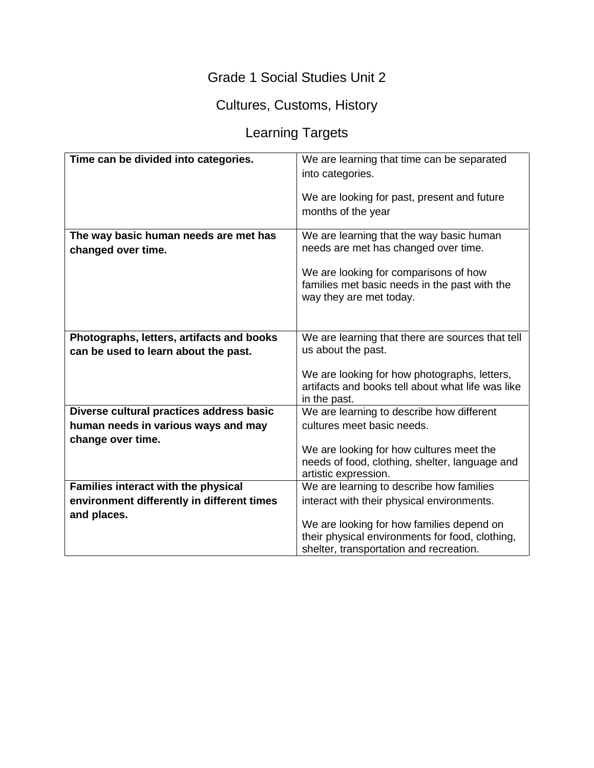#### Grade 1 Social Studies Unit 2

## Cultures, Customs, History

# Learning Targets

| Time can be divided into categories.<br>We are learning that time can be separated            |  |
|-----------------------------------------------------------------------------------------------|--|
| into categories.                                                                              |  |
|                                                                                               |  |
| We are looking for past, present and future                                                   |  |
| months of the year                                                                            |  |
|                                                                                               |  |
| The way basic human needs are met has<br>We are learning that the way basic human             |  |
| needs are met has changed over time.                                                          |  |
| changed over time.                                                                            |  |
|                                                                                               |  |
| We are looking for comparisons of how                                                         |  |
| families met basic needs in the past with the                                                 |  |
| way they are met today.                                                                       |  |
|                                                                                               |  |
|                                                                                               |  |
| Photographs, letters, artifacts and books<br>We are learning that there are sources that tell |  |
| us about the past.<br>can be used to learn about the past.                                    |  |
|                                                                                               |  |
| We are looking for how photographs, letters,                                                  |  |
| artifacts and books tell about what life was like                                             |  |
| in the past.                                                                                  |  |
| Diverse cultural practices address basic<br>We are learning to describe how different         |  |
|                                                                                               |  |
| human needs in various ways and may<br>cultures meet basic needs.                             |  |
| change over time.                                                                             |  |
| We are looking for how cultures meet the                                                      |  |
| needs of food, clothing, shelter, language and                                                |  |
| artistic expression.                                                                          |  |
| Families interact with the physical<br>We are learning to describe how families               |  |
| environment differently in different times<br>interact with their physical environments.      |  |
| and places.                                                                                   |  |
| We are looking for how families depend on                                                     |  |
| their physical environments for food, clothing,                                               |  |
| shelter, transportation and recreation.                                                       |  |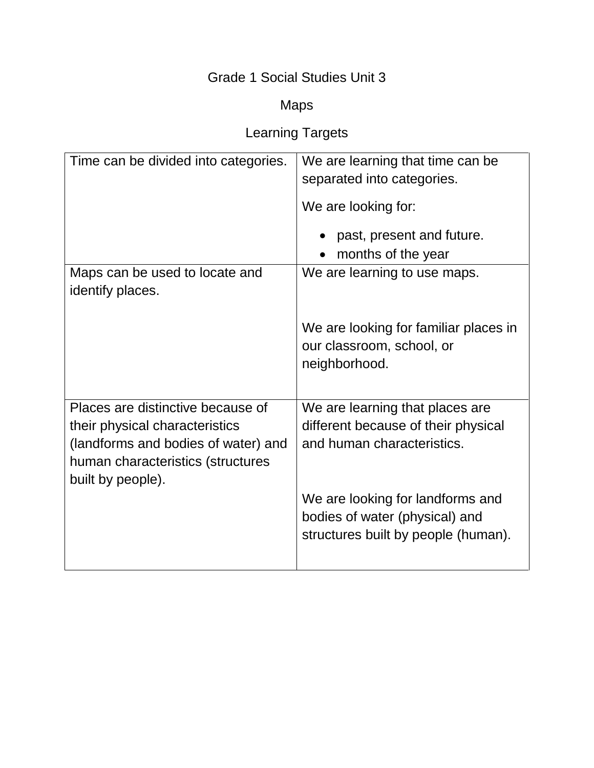#### Grade 1 Social Studies Unit 3

## Maps

# Learning Targets

| Time can be divided into categories.                                                                                                                                 | We are learning that time can be<br>separated into categories.<br>We are looking for:<br>past, present and future.<br>months of the year |
|----------------------------------------------------------------------------------------------------------------------------------------------------------------------|------------------------------------------------------------------------------------------------------------------------------------------|
| Maps can be used to locate and<br>identify places.                                                                                                                   | We are learning to use maps.                                                                                                             |
|                                                                                                                                                                      | We are looking for familiar places in<br>our classroom, school, or<br>neighborhood.                                                      |
| Places are distinctive because of<br>their physical characteristics<br>(landforms and bodies of water) and<br>human characteristics (structures<br>built by people). | We are learning that places are<br>different because of their physical<br>and human characteristics.                                     |
|                                                                                                                                                                      | We are looking for landforms and<br>bodies of water (physical) and<br>structures built by people (human).                                |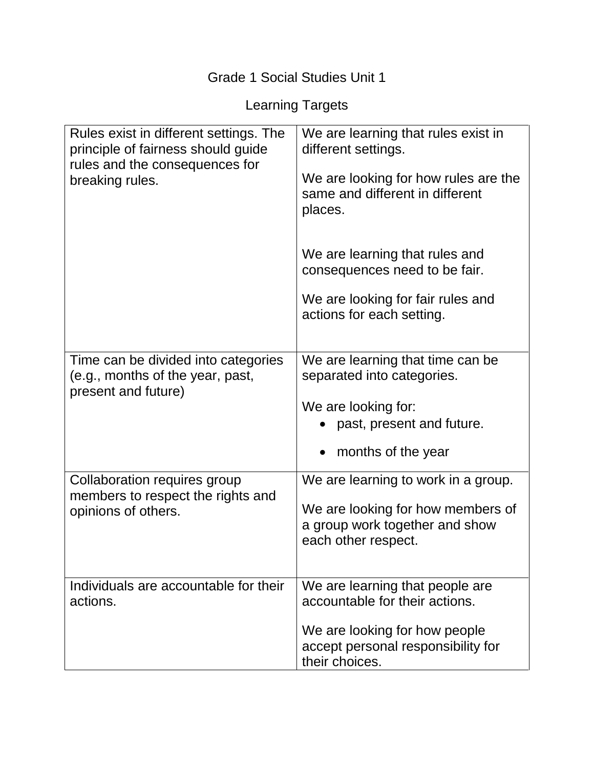| <b>Grade 1 Social Studies Unit 1</b>                                                                                              |                                                                                                                                                            |  |
|-----------------------------------------------------------------------------------------------------------------------------------|------------------------------------------------------------------------------------------------------------------------------------------------------------|--|
| Learning Targets                                                                                                                  |                                                                                                                                                            |  |
| Rules exist in different settings. The<br>principle of fairness should guide<br>rules and the consequences for<br>breaking rules. | We are learning that rules exist in<br>different settings.<br>We are looking for how rules are the<br>same and different in different<br>places.           |  |
|                                                                                                                                   | We are learning that rules and<br>consequences need to be fair.<br>We are looking for fair rules and<br>actions for each setting.                          |  |
| Time can be divided into categories<br>(e.g., months of the year, past,<br>present and future)                                    | We are learning that time can be<br>separated into categories.<br>We are looking for:<br>past, present and future.<br>months of the year                   |  |
| Collaboration requires group<br>members to respect the rights and<br>opinions of others.                                          | We are learning to work in a group.<br>We are looking for how members of<br>a group work together and show<br>each other respect.                          |  |
| Individuals are accountable for their<br>actions.                                                                                 | We are learning that people are<br>accountable for their actions.<br>We are looking for how people<br>accept personal responsibility for<br>their choices. |  |